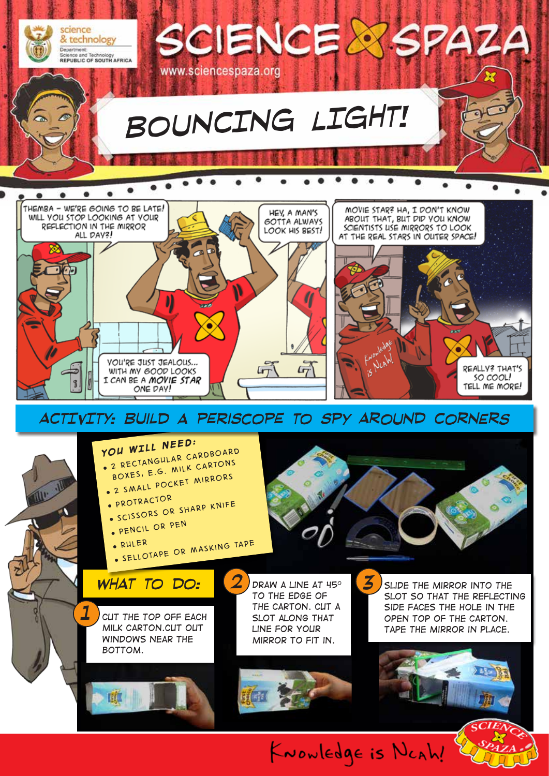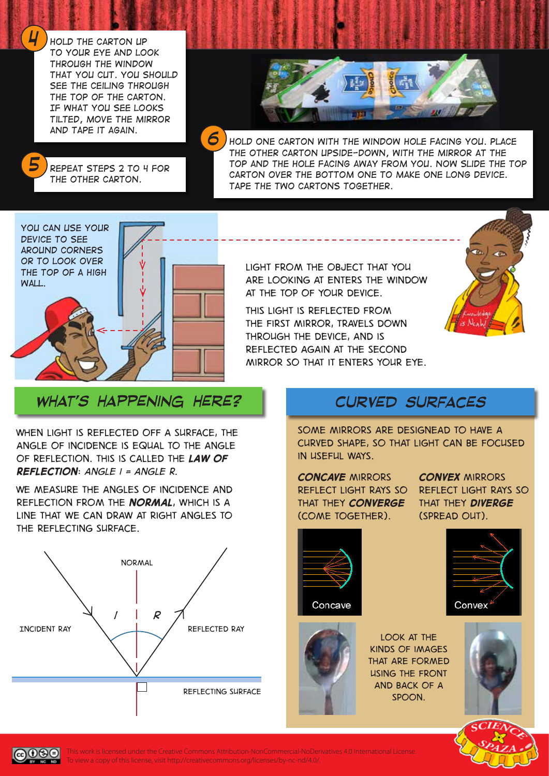*Hold the carton up to your eye and look through the window that you cut. You should see the ceiling through the top of the carton. If what you see looks tilted, move the mirror and tape it again.*



*5*

*4*

*Repeat steps 2 to 4 for the other carton.*

*6*

*hold one carton with the window hole facing you. Place the other carton upside-down, with the mirror at the top and the hole facing away from you. Now slide the top carton over the bottom one to make one long device. Tape the two cartons together.*



*Light from the object that you are looking at enters the window at the top of your device.* 

*This light is reflected from the first mirror, travels down through the device, and is reflected again at the second mirror so that it enters your eye.* 



### *what's happening here? Curved surfaces*

*When light is reflected off a surface, the angle of incidence is equal to the angle of reflection. This is called the law of reflection: angle i = angle r.*

*We measure the angles of incidence and reflection from the normal, which is a line that we can draw at right angles to the reflecting surface.*



*Some mirrors are designead to have a curved shape, so that light can be focused in useful ways.* 

*Concave mirrors reflect light rays so that they converge (come together).* 

*Convex mirrors reflect light rays so that they diverge (spread out).* 



Concave



**LOOK AT THE** *kinds of images that are formed using the front and back of a spoon.*









This work is licensed under the Creative Commons Attribution-NonCommercial-NoDerivatives 4.0 International License. To view a copy of this license, visit http://creativecommons.org/licenses/by-nc-nd/4.0/.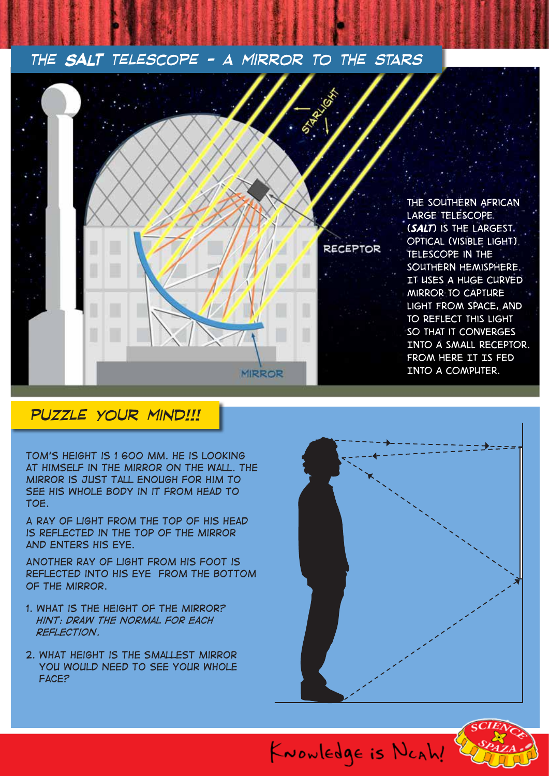#### *The* **SALT** *Telescope - a mirror to the stars*



### *puzzle your mind!!!*

*Tom's height is 1 600 mm. He is looking at himself in the mirror on the wall. The mirror is just tall enough for him to see his whole body in it from head to toe.* 

*A ray of light from the top of his head is reflected in the top of the mirror and enters his eye.*

*Another ray of light from his foot is reflected into his eye from the bottom of the mirror.*

- *1. What is the height of the mirror? Hint: Draw the normal for each reflection.*
- *2. What height is the smallest mirror you would need to see your whole face?*





KNOWLEDge is NCAh!